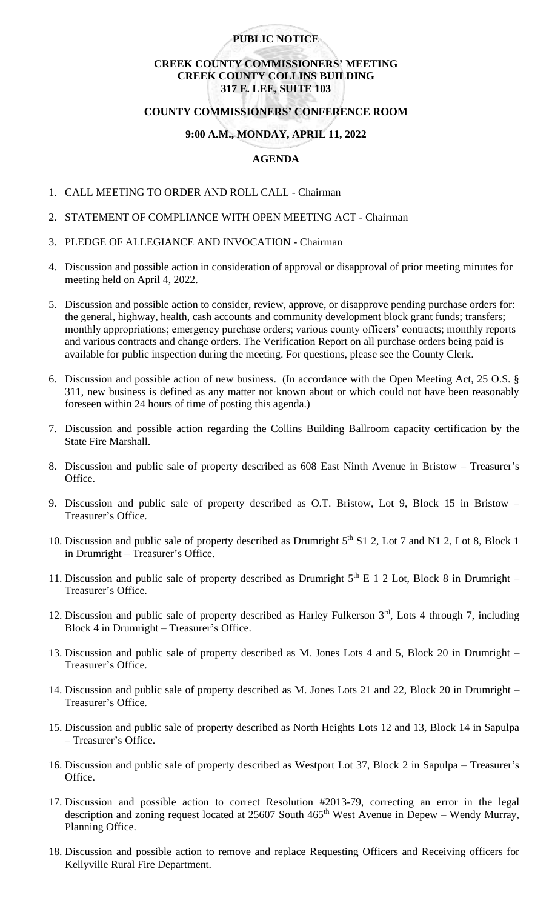## **PUBLIC NOTICE**

# **CREEK COUNTY COMMISSIONERS' MEETING CREEK COUNTY COLLINS BUILDING 317 E. LEE, SUITE 103**

#### **COUNTY COMMISSIONERS' CONFERENCE ROOM**

## **9:00 A.M., MONDAY, APRIL 11, 2022**

## **AGENDA**

- 1. CALL MEETING TO ORDER AND ROLL CALL Chairman
- 2. STATEMENT OF COMPLIANCE WITH OPEN MEETING ACT Chairman
- 3. PLEDGE OF ALLEGIANCE AND INVOCATION Chairman
- 4. Discussion and possible action in consideration of approval or disapproval of prior meeting minutes for meeting held on April 4, 2022.
- 5. Discussion and possible action to consider, review, approve, or disapprove pending purchase orders for: the general, highway, health, cash accounts and community development block grant funds; transfers; monthly appropriations; emergency purchase orders; various county officers' contracts; monthly reports and various contracts and change orders. The Verification Report on all purchase orders being paid is available for public inspection during the meeting. For questions, please see the County Clerk.
- 6. Discussion and possible action of new business. (In accordance with the Open Meeting Act, 25 O.S. § 311, new business is defined as any matter not known about or which could not have been reasonably foreseen within 24 hours of time of posting this agenda.)
- 7. Discussion and possible action regarding the Collins Building Ballroom capacity certification by the State Fire Marshall.
- 8. Discussion and public sale of property described as 608 East Ninth Avenue in Bristow Treasurer's Office.
- 9. Discussion and public sale of property described as O.T. Bristow, Lot 9, Block 15 in Bristow Treasurer's Office.
- 10. Discussion and public sale of property described as Drumright 5<sup>th</sup> S1 2, Lot 7 and N1 2, Lot 8, Block 1 in Drumright – Treasurer's Office.
- 11. Discussion and public sale of property described as Drumright  $5<sup>th</sup>$  E 1 2 Lot, Block 8 in Drumright Treasurer's Office.
- 12. Discussion and public sale of property described as Harley Fulkerson  $3<sup>rd</sup>$ , Lots 4 through 7, including Block 4 in Drumright – Treasurer's Office.
- 13. Discussion and public sale of property described as M. Jones Lots 4 and 5, Block 20 in Drumright Treasurer's Office.
- 14. Discussion and public sale of property described as M. Jones Lots 21 and 22, Block 20 in Drumright Treasurer's Office.
- 15. Discussion and public sale of property described as North Heights Lots 12 and 13, Block 14 in Sapulpa – Treasurer's Office.
- 16. Discussion and public sale of property described as Westport Lot 37, Block 2 in Sapulpa Treasurer's Office.
- 17. Discussion and possible action to correct Resolution #2013-79, correcting an error in the legal description and zoning request located at  $25607$  South  $465<sup>th</sup>$  West Avenue in Depew – Wendy Murray, Planning Office.
- 18. Discussion and possible action to remove and replace Requesting Officers and Receiving officers for Kellyville Rural Fire Department.